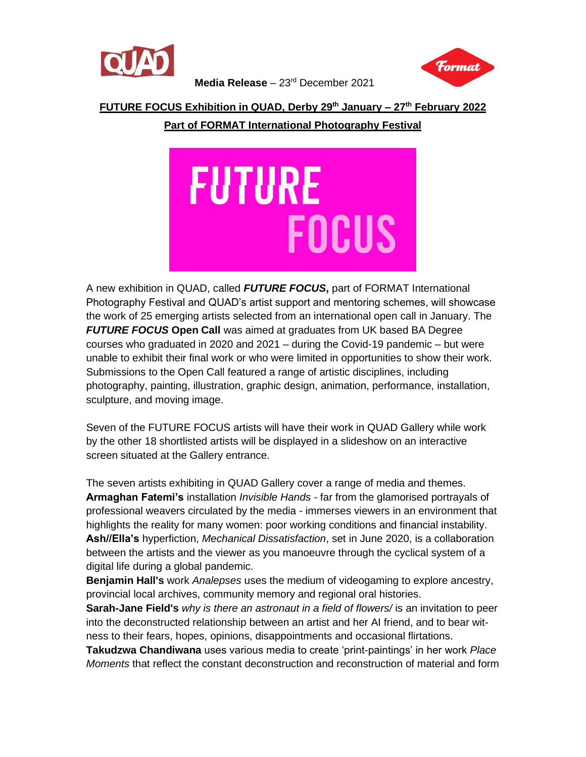



**Media Release** – 23rd December 2021

#### **FUTURE FOCUS Exhibition in QUAD, Derby 29th January – 27th February 2022**

### **Part of FORMAT International Photography Festival**



A new exhibition in QUAD, called *FUTURE FOCUS***,** part of FORMAT International Photography Festival and QUAD's artist support and mentoring schemes, will showcase the work of 25 emerging artists selected from an international open call in January. The *FUTURE FOCUS* **Open Call** was aimed at graduates from UK based BA Degree courses who graduated in 2020 and 2021 – during the Covid-19 pandemic – but were unable to exhibit their final work or who were limited in opportunities to show their work. Submissions to the Open Call featured a range of artistic disciplines, including photography, painting, illustration, graphic design, animation, performance, installation, sculpture, and moving image.

Seven of the FUTURE FOCUS artists will have their work in QUAD Gallery while work by the other 18 shortlisted artists will be displayed in a slideshow on an interactive screen situated at the Gallery entrance.

The seven artists exhibiting in QUAD Gallery cover a range of media and themes. **Armaghan Fatemi's** installation *Invisible Hands -* far from the glamorised portrayals of professional weavers circulated by the media - immerses viewers in an environment that highlights the reality for many women: poor working conditions and financial instability. **Ash//Ella's** hyperfiction, *Mechanical Dissatisfaction*, set in June 2020, is a collaboration between the artists and the viewer as you manoeuvre through the cyclical system of a digital life during a global pandemic.

**Benjamin Hall's** work *Analepses* uses the medium of videogaming to explore ancestry, provincial local archives, community memory and regional oral histories.

**Sarah-Jane Field's** *why is there an astronaut in a field of flowers/* is an invitation to peer into the deconstructed relationship between an artist and her AI friend, and to bear witness to their fears, hopes, opinions, disappointments and occasional flirtations.

**Takudzwa Chandiwana** uses various media to create 'print-paintings' in her work *Place Moments* that reflect the constant deconstruction and reconstruction of material and form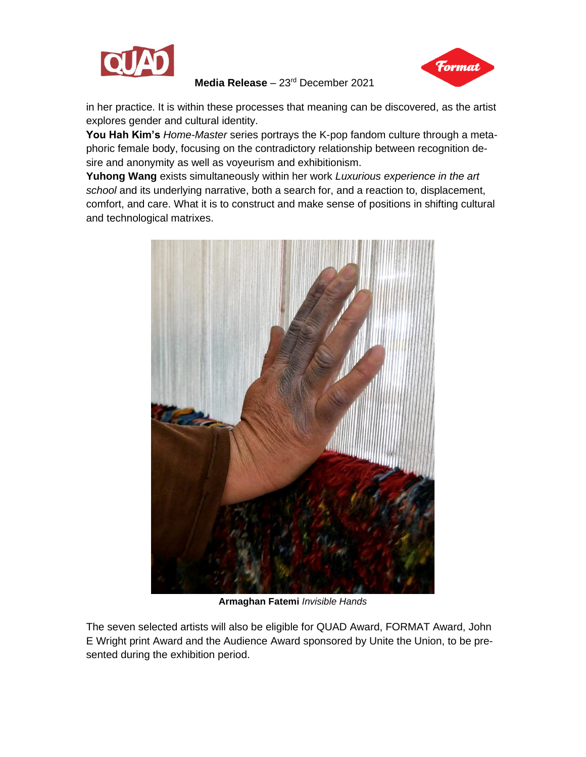

Format

**Media Release** – 23rd December 2021

in her practice. It is within these processes that meaning can be discovered, as the artist explores gender and cultural identity.

**You Hah Kim's** *Home-Master* series portrays the K-pop fandom culture through a metaphoric female body, focusing on the contradictory relationship between recognition desire and anonymity as well as voyeurism and exhibitionism.

**Yuhong Wang** exists simultaneously within her work *Luxurious experience in the art school* and its underlying narrative, both a search for, and a reaction to, displacement, comfort, and care. What it is to construct and make sense of positions in shifting cultural and technological matrixes.



**Armaghan Fatemi** *Invisible Hands*

The seven selected artists will also be eligible for QUAD Award, FORMAT Award, John E Wright print Award and the Audience Award sponsored by Unite the Union, to be presented during the exhibition period.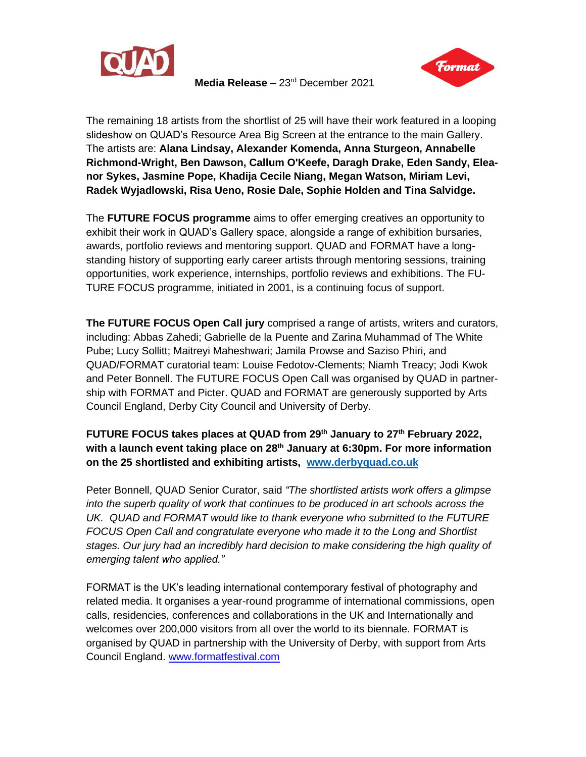

**Media Release** – 23rd December 2021



The remaining 18 artists from the shortlist of 25 will have their work featured in a looping slideshow on QUAD's Resource Area Big Screen at the entrance to the main Gallery. The artists are: **Alana Lindsay, Alexander Komenda, Anna Sturgeon, Annabelle Richmond-Wright, Ben Dawson, Callum O'Keefe, Daragh Drake, Eden Sandy, Eleanor Sykes, Jasmine Pope, Khadija Cecile Niang, Megan Watson, Miriam Levi, Radek Wyjadlowski, Risa Ueno, Rosie Dale, Sophie Holden and Tina Salvidge.**

The **FUTURE FOCUS programme** aims to offer emerging creatives an opportunity to exhibit their work in QUAD's Gallery space, alongside a range of exhibition bursaries, awards, portfolio reviews and mentoring support. QUAD and FORMAT have a longstanding history of supporting early career artists through mentoring sessions, training opportunities, work experience, internships, portfolio reviews and exhibitions. The FU-TURE FOCUS programme, initiated in 2001, is a continuing focus of support.

**The FUTURE FOCUS Open Call jury** comprised a range of artists, writers and curators, including: Abbas Zahedi; Gabrielle de la Puente and Zarina Muhammad of The White Pube; Lucy Sollitt; Maitreyi Maheshwari; Jamila Prowse and Saziso Phiri, and QUAD/FORMAT curatorial team: Louise Fedotov-Clements; Niamh Treacy; Jodi Kwok and Peter Bonnell. The FUTURE FOCUS Open Call was organised by QUAD in partnership with FORMAT and Picter. QUAD and FORMAT are generously supported by Arts Council England, Derby City Council and University of Derby.

# **FUTURE FOCUS takes places at QUAD from 29th January to 27th February 2022, with a launch event taking place on 28th January at 6:30pm. For more information on the 25 shortlisted and exhibiting artists, [www.derbyquad.co.uk](http://www.derbyquad.co.uk/)**

Peter Bonnell, QUAD Senior Curator, said *"The shortlisted artists work offers a glimpse into the superb quality of work that continues to be produced in art schools across the UK. QUAD and FORMAT would like to thank everyone who submitted to the FUTURE FOCUS Open Call and congratulate everyone who made it to the Long and Shortlist stages. Our jury had an incredibly hard decision to make considering the high quality of emerging talent who applied."*

FORMAT is the UK's leading international contemporary festival of photography and related media. It organises a year-round programme of international commissions, open calls, residencies, conferences and collaborations in the UK and Internationally and welcomes over 200,000 visitors from all over the world to its biennale. FORMAT is organised by QUAD in partnership with the University of Derby, with support from Arts Council England. [www.formatfestival.com](http://www.formatfestival.com/)